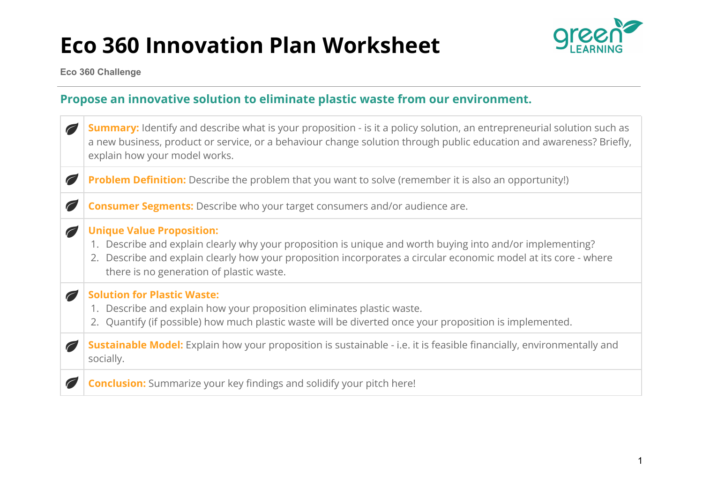

**Eco 360 Challenge**

#### **Propose an innovative solution to eliminate plastic waste from our environment.**

| $\sqrt{2}$ | <b>Summary:</b> Identify and describe what is your proposition - is it a policy solution, an entrepreneurial solution such as<br>a new business, product or service, or a behaviour change solution through public education and awareness? Briefly,<br>explain how your model works.                        |
|------------|--------------------------------------------------------------------------------------------------------------------------------------------------------------------------------------------------------------------------------------------------------------------------------------------------------------|
| $\bigcirc$ | Problem Definition: Describe the problem that you want to solve (remember it is also an opportunity!)                                                                                                                                                                                                        |
| O          | <b>Consumer Segments:</b> Describe who your target consumers and/or audience are.                                                                                                                                                                                                                            |
| O          | <b>Unique Value Proposition:</b><br>1. Describe and explain clearly why your proposition is unique and worth buying into and/or implementing?<br>2. Describe and explain clearly how your proposition incorporates a circular economic model at its core - where<br>there is no generation of plastic waste. |
|            | <b>Solution for Plastic Waste:</b><br>1. Describe and explain how your proposition eliminates plastic waste.<br>2. Quantify (if possible) how much plastic waste will be diverted once your proposition is implemented.                                                                                      |
|            | Sustainable Model: Explain how your proposition is sustainable - i.e. it is feasible financially, environmentally and<br>socially.                                                                                                                                                                           |
|            | <b>Conclusion:</b> Summarize your key findings and solidify your pitch here!                                                                                                                                                                                                                                 |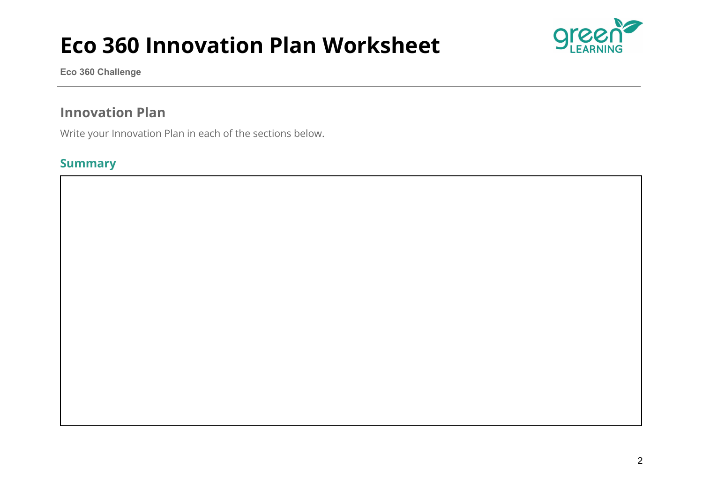

**Eco 360 Challenge**

### **Innovation Plan**

Write your Innovation Plan in each of the sections below.

#### **Summary**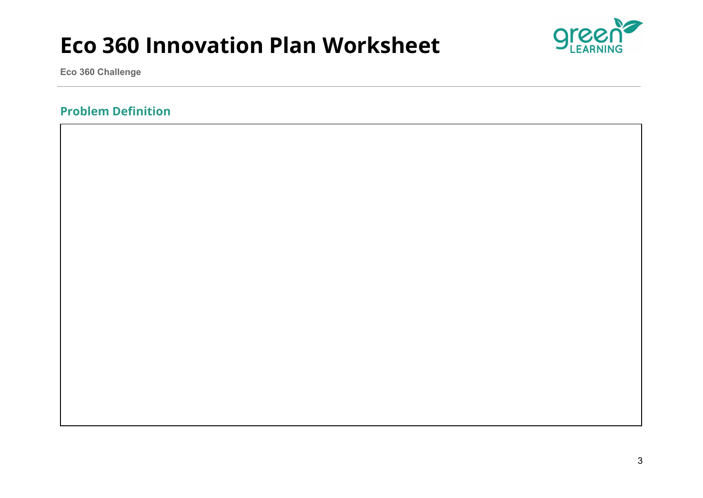

**Eco 360 Challenge**

#### **Problem Definition**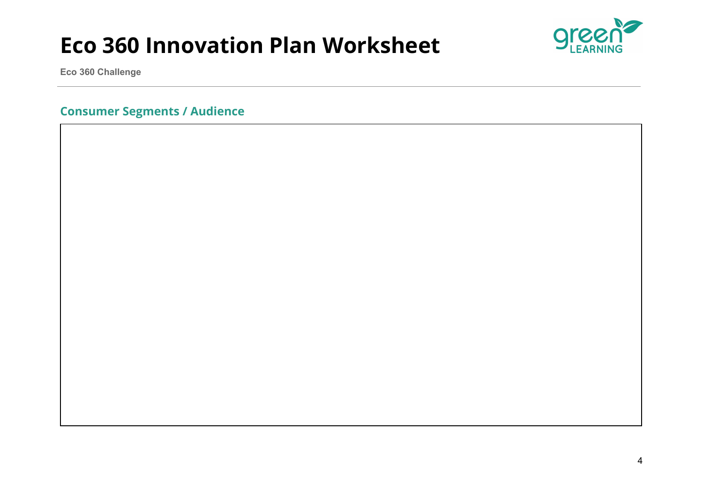

**Eco 360 Challenge**

**Consumer Segments / Audience**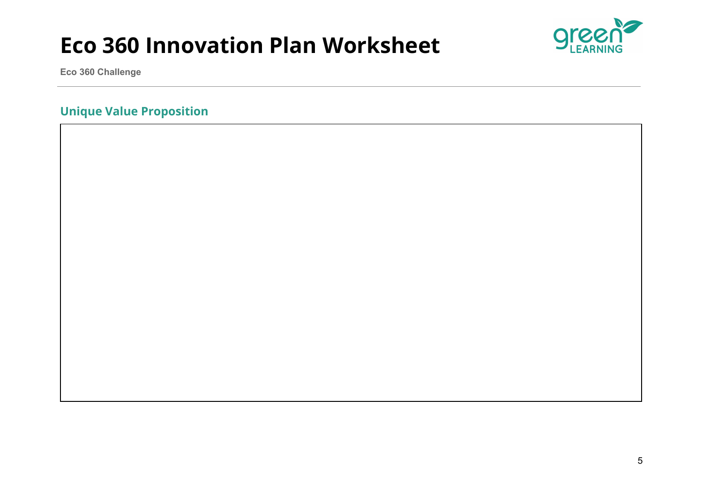

**Eco 360 Challenge**

#### **Unique Value Proposition**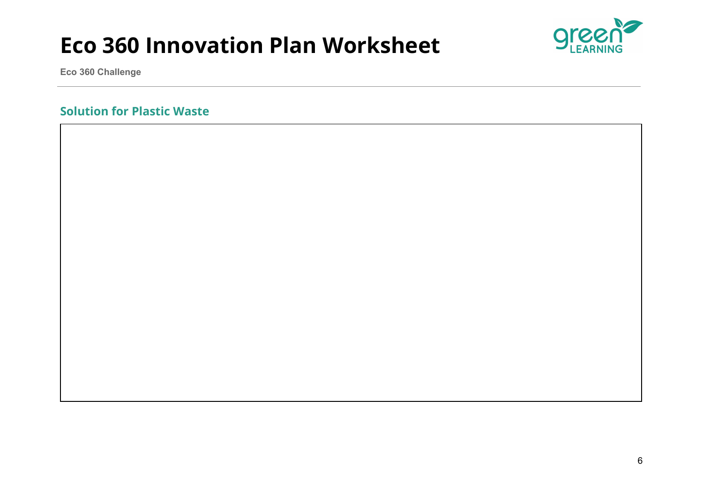

**Eco 360 Challenge**

#### **Solution for Plastic Waste**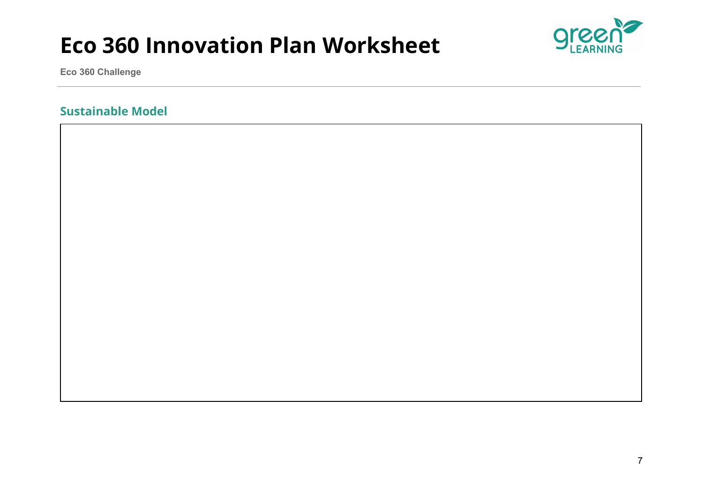

**Eco 360 Challenge**

#### **Sustainable Model**